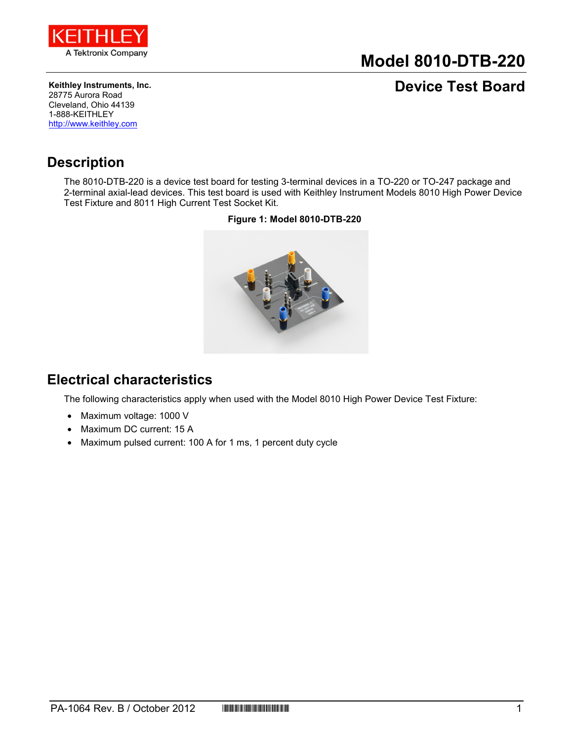

# **Model 8010-DTB-220**

#### **Device Test Board**

**Keithley Instruments, Inc.** 28775 Aurora Road Cleveland, Ohio 44139 1-888-KEITHLEY [http://www.keithley.com](http://www.keithley.com/)

### **Description**

The 8010-DTB-220 is a device test board for testing 3-terminal devices in a TO-220 or TO-247 package and 2-terminal axial-lead devices. This test board is used with Keithley Instrument Models 8010 High Power Device Test Fixture and 8011 High Current Test Socket Kit.

**Figure 1: Model 8010-DTB-220**

# **Electrical characteristics**

The following characteristics apply when used with the Model 8010 High Power Device Test Fixture:

- Maximum voltage: 1000 V
- Maximum DC current: 15 A
- Maximum pulsed current: 100 A for 1 ms, 1 percent duty cycle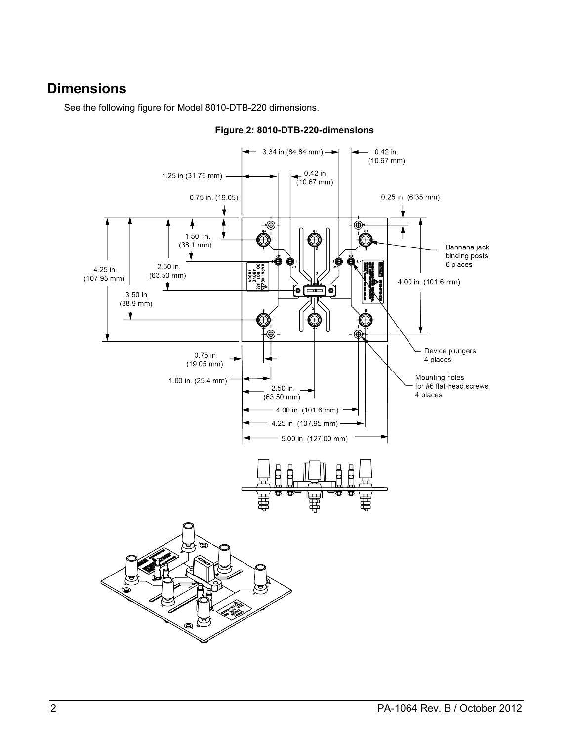## **Dimensions**

See the following figure for Model 8010-DTB-220 dimensions.



#### **Figure 2: 8010-DTB-220-dimensions**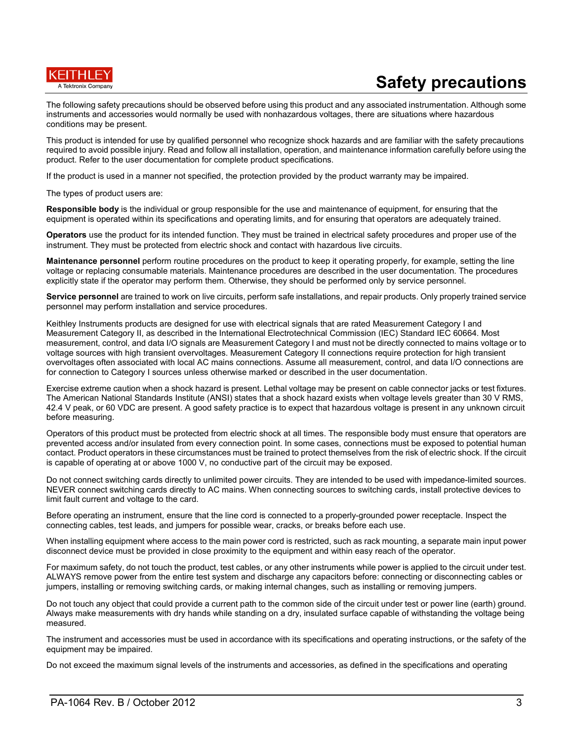

# **Safety precautions**

The following safety precautions should be observed before using this product and any associated instrumentation. Although some instruments and accessories would normally be used with nonhazardous voltages, there are situations where hazardous conditions may be present.

This product is intended for use by qualified personnel who recognize shock hazards and are familiar with the safety precautions required to avoid possible injury. Read and follow all installation, operation, and maintenance information carefully before using the product. Refer to the user documentation for complete product specifications.

If the product is used in a manner not specified, the protection provided by the product warranty may be impaired.

The types of product users are:

**Responsible body** is the individual or group responsible for the use and maintenance of equipment, for ensuring that the equipment is operated within its specifications and operating limits, and for ensuring that operators are adequately trained.

**Operators** use the product for its intended function. They must be trained in electrical safety procedures and proper use of the instrument. They must be protected from electric shock and contact with hazardous live circuits.

**Maintenance personnel** perform routine procedures on the product to keep it operating properly, for example, setting the line voltage or replacing consumable materials. Maintenance procedures are described in the user documentation. The procedures explicitly state if the operator may perform them. Otherwise, they should be performed only by service personnel.

**Service personnel** are trained to work on live circuits, perform safe installations, and repair products. Only properly trained service personnel may perform installation and service procedures.

Keithley Instruments products are designed for use with electrical signals that are rated Measurement Category I and Measurement Category II, as described in the International Electrotechnical Commission (IEC) Standard IEC 60664. Most measurement, control, and data I/O signals are Measurement Category I and must not be directly connected to mains voltage or to voltage sources with high transient overvoltages. Measurement Category II connections require protection for high transient overvoltages often associated with local AC mains connections. Assume all measurement, control, and data I/O connections are for connection to Category I sources unless otherwise marked or described in the user documentation.

Exercise extreme caution when a shock hazard is present. Lethal voltage may be present on cable connector jacks or test fixtures. The American National Standards Institute (ANSI) states that a shock hazard exists when voltage levels greater than 30 V RMS, 42.4 V peak, or 60 VDC are present. A good safety practice is to expect that hazardous voltage is present in any unknown circuit before measuring.

Operators of this product must be protected from electric shock at all times. The responsible body must ensure that operators are prevented access and/or insulated from every connection point. In some cases, connections must be exposed to potential human contact. Product operators in these circumstances must be trained to protect themselves from the risk of electric shock. If the circuit is capable of operating at or above 1000 V, no conductive part of the circuit may be exposed.

Do not connect switching cards directly to unlimited power circuits. They are intended to be used with impedance-limited sources. NEVER connect switching cards directly to AC mains. When connecting sources to switching cards, install protective devices to limit fault current and voltage to the card.

Before operating an instrument, ensure that the line cord is connected to a properly-grounded power receptacle. Inspect the connecting cables, test leads, and jumpers for possible wear, cracks, or breaks before each use.

When installing equipment where access to the main power cord is restricted, such as rack mounting, a separate main input power disconnect device must be provided in close proximity to the equipment and within easy reach of the operator.

For maximum safety, do not touch the product, test cables, or any other instruments while power is applied to the circuit under test. ALWAYS remove power from the entire test system and discharge any capacitors before: connecting or disconnecting cables or jumpers, installing or removing switching cards, or making internal changes, such as installing or removing jumpers.

Do not touch any object that could provide a current path to the common side of the circuit under test or power line (earth) ground. Always make measurements with dry hands while standing on a dry, insulated surface capable of withstanding the voltage being measured.

The instrument and accessories must be used in accordance with its specifications and operating instructions, or the safety of the equipment may be impaired.

Do not exceed the maximum signal levels of the instruments and accessories, as defined in the specifications and operating